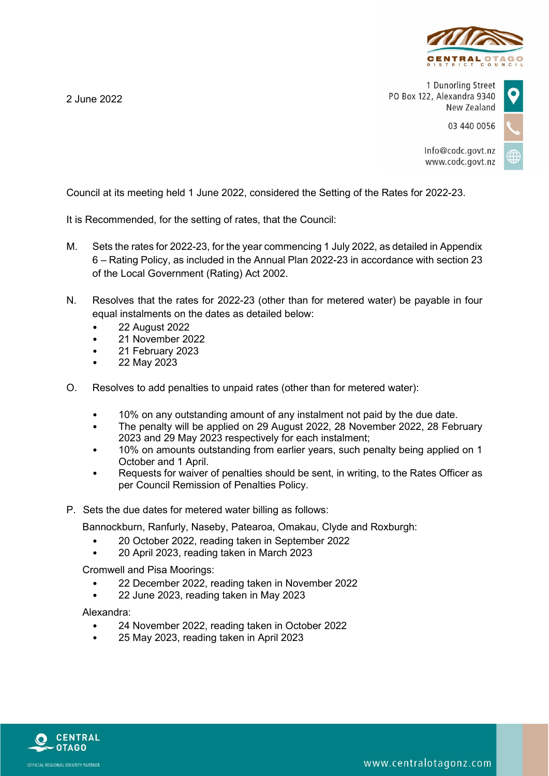

1 Dunorling Street PO Box 122, Alexandra 9340 New Zealand

03 440 0056

Info@codc.govt.nz www.codc.govt.nz

Council at its meeting held 1 June 2022, considered the Setting of the Rates for 2022-23.

It is Recommended, for the setting of rates, that the Council:

- M. Sets the rates for 2022-23, for the year commencing 1 July 2022, as detailed in Appendix 6 – Rating Policy, as included in the Annual Plan 2022-23 in accordance with section 23 of the Local Government (Rating) Act 2002.
- N. Resolves that the rates for 2022-23 (other than for metered water) be payable in four equal instalments on the dates as detailed below:
	- 22 August 2022

2 June 2022

- 21 November 2022
- 21 February 2023
- 22 May 2023
- O. Resolves to add penalties to unpaid rates (other than for metered water):
	- 10% on any outstanding amount of any instalment not paid by the due date.
	- The penalty will be applied on 29 August 2022, 28 November 2022, 28 February 2023 and 29 May 2023 respectively for each instalment;
	- 10% on amounts outstanding from earlier years, such penalty being applied on 1 October and 1 April.
	- Requests for waiver of penalties should be sent, in writing, to the Rates Officer as per Council Remission of Penalties Policy.
- P. Sets the due dates for metered water billing as follows:

Bannockburn, Ranfurly, Naseby, Patearoa, Omakau, Clyde and Roxburgh:

- 20 October 2022, reading taken in September 2022
- 20 April 2023, reading taken in March 2023

Cromwell and Pisa Moorings:

- 22 December 2022, reading taken in November 2022
- 22 June 2023, reading taken in May 2023

Alexandra:

- 24 November 2022, reading taken in October 2022
- 25 May 2023, reading taken in April 2023



www.centralotagonz.com